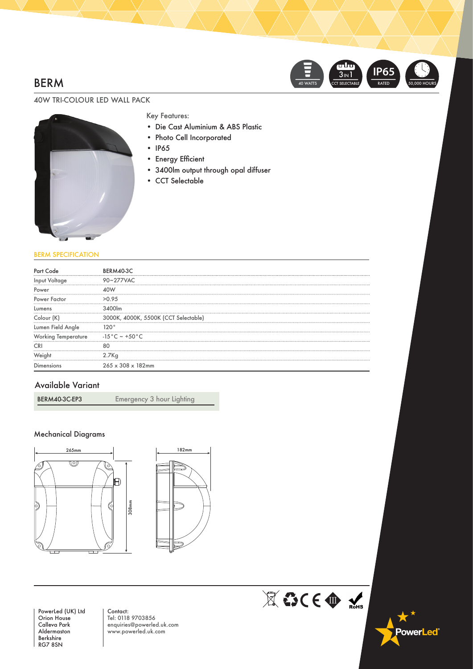# BERM



## 40W TRI-COLOUR LED WALL PACK



### Key Features:

- Die Cast Aluminium & ABS Plastic
- Photo Cell Incorporated
- IP65
- • Energy Efficient
- 3400lm output through opal diffuser
- CCT Selectable

#### BERM SPECIFICATION

| Part                | BERM40-3C                                |
|---------------------|------------------------------------------|
| Input Voltage       | 90~277VAC                                |
| Power               |                                          |
| Power Factor        | >0.95                                    |
| Lumens              |                                          |
| Colour (K)          | 3000K, 4000K, 5500K (CCT Selectable)     |
| Lumen Field Angle   |                                          |
| Working Temperature | -15 $^{\circ}$ C $\sim$ +50 $^{\circ}$ C |
|                     |                                          |
|                     | 2.7Ka                                    |
| Dimensions          | $265 \times 308 \times 182$ mm           |

## Available Variant

BERM40-3C-EP3 Emergency 3 hour Lighting

### Mechanical Diagrams





PowerLed (UK) Ltd Orion House Calleva Park Aldermaston Berkshire RG7 8SN

Contact: Tel: 0118 9703856 enquiries@powerled.uk.com www.powerled.uk.com